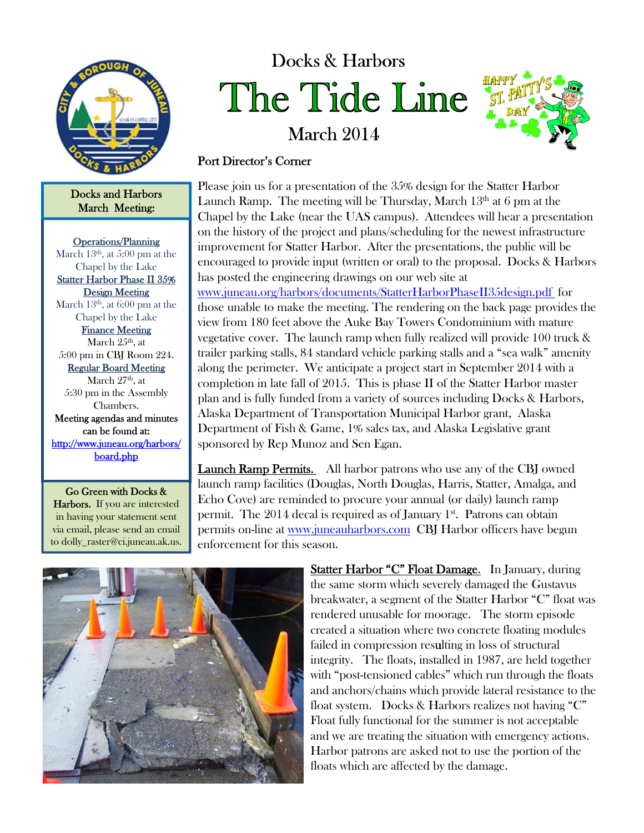

Docks and Harbors March Meeting:

Operations/Planning March  $13<sup>th</sup>$ , at 5:00 pm at the Chapel by the Lake Statter Harbor Phase II 35% Design Meeting March  $13<sup>th</sup>$ , at 6:00 pm at the Chapel by the Lake Finance Meeting March  $25<sup>th</sup>$ , at 5:00 pm in CBJ Room 224. Regular Board Meeting March  $27<sup>th</sup>$ , at 5:30 pm in the Assembly Chambers. Meeting agendas and minutes can be found at: http://www.juneau.org/harbors/ board.php

Go Green with Docks & Harbors. If you are interested in having your statement sent via email, please send an email to dolly\_raster@ci.juneau.ak.us.

## Docks & Harbors The Tide Line

March 2014



## Port Director's Corner

Please join us for a presentation of the 35% design for the Statter Harbor Launch Ramp. The meeting will be Thursday, March  $13<sup>th</sup>$  at 6 pm at the Chapel by the Lake (near the UAS campus). Attendees will hear a presentation on the history of the project and plans/scheduling for the newest infrastructure improvement for Statter Harbor. After the presentations, the public will be encouraged to provide input (written or oral) to the proposal. Docks & Harbors has posted the engineering drawings on our web site at

www.juneau.org/harbors/documents/StatterHarborPhaseII35design.pdf for those unable to make the meeting. The rendering on the back page provides the view from 180 feet above the Auke Bay Towers Condominium with mature vegetative cover. The launch ramp when fully realized will provide 100 truck & trailer parking stalls, 84 standard vehicle parking stalls and a "sea walk" amenity along the perimeter. We anticipate a project start in September 2014 with a completion in late fall of 2015. This is phase II of the Statter Harbor master plan and is fully funded from a variety of sources including Docks & Harbors, Alaska Department of Transportation Municipal Harbor grant, Alaska Department of Fish & Game, 1% sales tax, and Alaska Legislative grant sponsored by Rep Munoz and Sen Egan.

Launch Ramp Permits. All harbor patrons who use any of the CBJ owned launch ramp facilities (Douglas, North Douglas, Harris, Statter, Amalga, and Echo Cove) are reminded to procure your annual (or daily) launch ramp permit. The 2014 decal is required as of January 1<sup>st</sup>. Patrons can obtain permits on-line at www.juneauharbors.com CBJ Harbor officers have begun enforcement for this season.



Statter Harbor "C" Float Damage. In January, during the same storm which severely damaged the Gustavus breakwater, a segment of the Statter Harbor "C" float was rendered unusable for moorage. The storm episode created a situation where two concrete floating modules failed in compression resulting in loss of structural integrity. The floats, installed in 1987, are held together with "post-tensioned cables" which run through the floats and anchors/chains which provide lateral resistance to the float system. Docks & Harbors realizes not having "C" Float fully functional for the summer is not acceptable and we are treating the situation with emergency actions. Harbor patrons are asked not to use the portion of the floats which are affected by the damage.